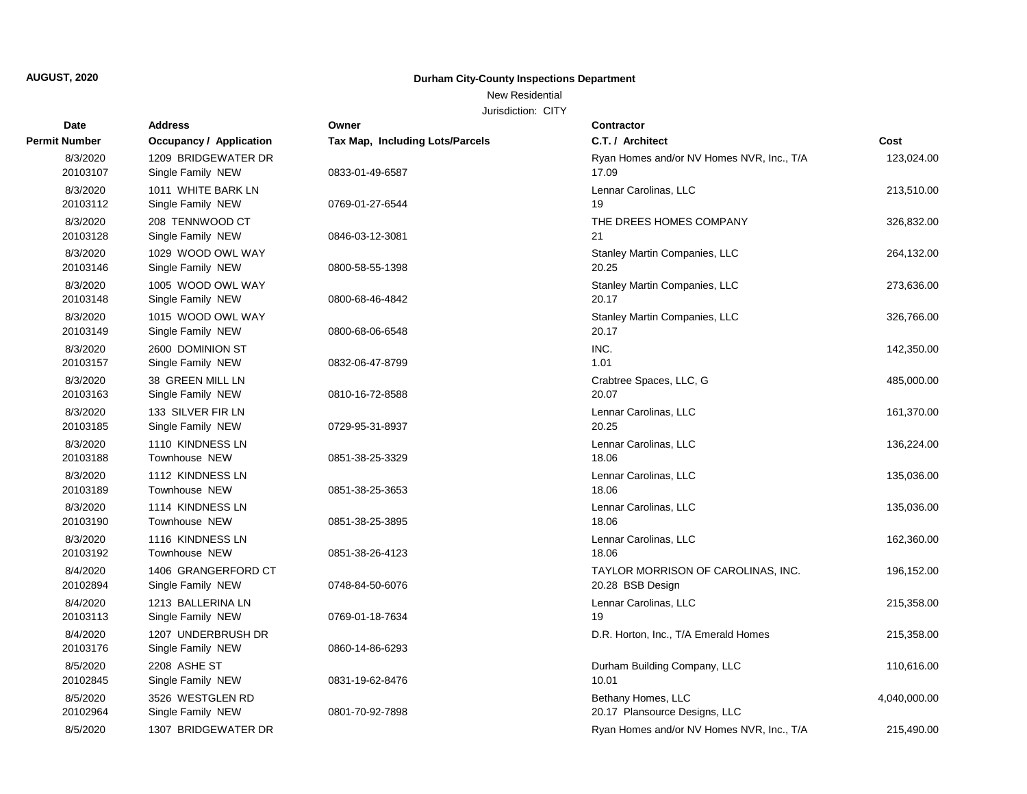New Residential

| Date                 | <b>Address</b>                 | Owner                           | Contractor                                |              |
|----------------------|--------------------------------|---------------------------------|-------------------------------------------|--------------|
| <b>Permit Number</b> | <b>Occupancy / Application</b> | Tax Map, Including Lots/Parcels | C.T. / Architect                          | Cost         |
| 8/3/2020             | 1209 BRIDGEWATER DR            |                                 | Ryan Homes and/or NV Homes NVR, Inc., T/A | 123,024.00   |
| 20103107             | Single Family NEW              | 0833-01-49-6587                 | 17.09                                     |              |
| 8/3/2020             | 1011 WHITE BARK LN             |                                 | Lennar Carolinas, LLC                     | 213,510.00   |
| 20103112             | Single Family NEW              | 0769-01-27-6544                 | 19                                        |              |
| 8/3/2020             | 208 TENNWOOD CT                |                                 | THE DREES HOMES COMPANY                   | 326,832.00   |
| 20103128             | Single Family NEW              | 0846-03-12-3081                 | 21                                        |              |
| 8/3/2020             | 1029 WOOD OWL WAY              |                                 | Stanley Martin Companies, LLC             | 264,132.00   |
| 20103146             | Single Family NEW              | 0800-58-55-1398                 | 20.25                                     |              |
| 8/3/2020             | 1005 WOOD OWL WAY              |                                 | Stanley Martin Companies, LLC             | 273,636.00   |
| 20103148             | Single Family NEW              | 0800-68-46-4842                 | 20.17                                     |              |
| 8/3/2020             | 1015 WOOD OWL WAY              |                                 | Stanley Martin Companies, LLC             | 326,766.00   |
| 20103149             | Single Family NEW              | 0800-68-06-6548                 | 20.17                                     |              |
| 8/3/2020             | 2600 DOMINION ST               |                                 | INC.                                      | 142,350.00   |
| 20103157             | Single Family NEW              | 0832-06-47-8799                 | 1.01                                      |              |
| 8/3/2020             | 38 GREEN MILL LN               |                                 | Crabtree Spaces, LLC, G                   | 485,000.00   |
| 20103163             | Single Family NEW              | 0810-16-72-8588                 | 20.07                                     |              |
| 8/3/2020             | 133 SILVER FIR LN              |                                 | Lennar Carolinas, LLC                     | 161,370.00   |
| 20103185             | Single Family NEW              | 0729-95-31-8937                 | 20.25                                     |              |
| 8/3/2020             | 1110 KINDNESS LN               |                                 | Lennar Carolinas, LLC                     | 136,224.00   |
| 20103188             | Townhouse NEW                  | 0851-38-25-3329                 | 18.06                                     |              |
| 8/3/2020             | 1112 KINDNESS LN               |                                 | Lennar Carolinas, LLC                     | 135,036.00   |
| 20103189             | Townhouse NEW                  | 0851-38-25-3653                 | 18.06                                     |              |
| 8/3/2020             | 1114 KINDNESS LN               |                                 | Lennar Carolinas, LLC                     | 135,036.00   |
| 20103190             | Townhouse NEW                  | 0851-38-25-3895                 | 18.06                                     |              |
| 8/3/2020             | 1116 KINDNESS LN               |                                 | Lennar Carolinas, LLC                     | 162,360.00   |
| 20103192             | Townhouse NEW                  | 0851-38-26-4123                 | 18.06                                     |              |
| 8/4/2020             | 1406 GRANGERFORD CT            |                                 | TAYLOR MORRISON OF CAROLINAS, INC.        | 196,152.00   |
| 20102894             | Single Family NEW              | 0748-84-50-6076                 | 20.28 BSB Design                          |              |
| 8/4/2020             | 1213 BALLERINA LN              |                                 | Lennar Carolinas, LLC                     | 215,358.00   |
| 20103113             | Single Family NEW              | 0769-01-18-7634                 | 19                                        |              |
| 8/4/2020             | 1207 UNDERBRUSH DR             |                                 | D.R. Horton, Inc., T/A Emerald Homes      | 215,358.00   |
| 20103176             | Single Family NEW              | 0860-14-86-6293                 |                                           |              |
| 8/5/2020             | 2208 ASHE ST                   |                                 | Durham Building Company, LLC              | 110,616.00   |
| 20102845             | Single Family NEW              | 0831-19-62-8476                 | 10.01                                     |              |
| 8/5/2020             | 3526 WESTGLEN RD               |                                 | Bethany Homes, LLC                        | 4,040,000.00 |
| 20102964             | Single Family NEW              | 0801-70-92-7898                 | 20.17 Plansource Designs, LLC             |              |
| 8/5/2020             | 1307 BRIDGEWATER DR            |                                 | Ryan Homes and/or NV Homes NVR, Inc., T/A | 215,490.00   |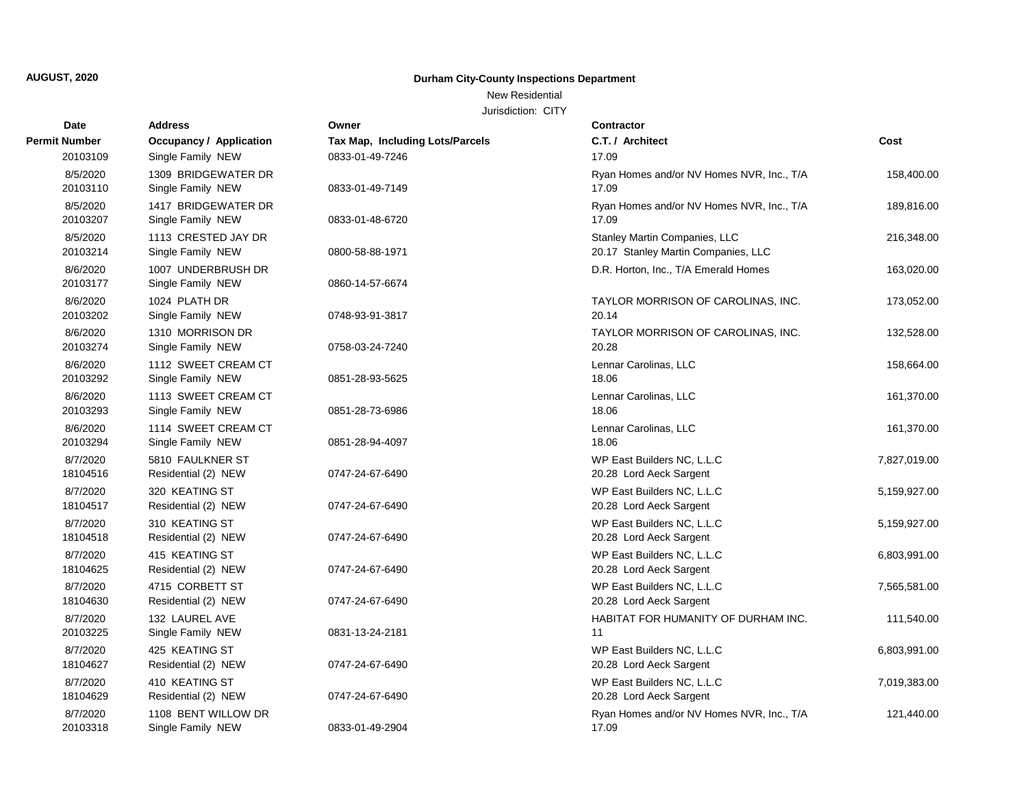New Residential

| Date                 | <b>Address</b>                           | Owner                           | Contractor                                                           |              |
|----------------------|------------------------------------------|---------------------------------|----------------------------------------------------------------------|--------------|
| <b>Permit Number</b> | <b>Occupancy / Application</b>           | Tax Map, Including Lots/Parcels | C.T. / Architect                                                     | Cost         |
| 20103109             | Single Family NEW                        | 0833-01-49-7246                 | 17.09                                                                |              |
| 8/5/2020<br>20103110 | 1309 BRIDGEWATER DR<br>Single Family NEW | 0833-01-49-7149                 | Ryan Homes and/or NV Homes NVR, Inc., T/A<br>17.09                   | 158,400.00   |
| 8/5/2020<br>20103207 | 1417 BRIDGEWATER DR<br>Single Family NEW | 0833-01-48-6720                 | Ryan Homes and/or NV Homes NVR, Inc., T/A<br>17.09                   | 189,816.00   |
| 8/5/2020<br>20103214 | 1113 CRESTED JAY DR<br>Single Family NEW | 0800-58-88-1971                 | Stanley Martin Companies, LLC<br>20.17 Stanley Martin Companies, LLC | 216,348.00   |
| 8/6/2020<br>20103177 | 1007 UNDERBRUSH DR<br>Single Family NEW  | 0860-14-57-6674                 | D.R. Horton, Inc., T/A Emerald Homes                                 | 163,020.00   |
| 8/6/2020<br>20103202 | 1024 PLATH DR<br>Single Family NEW       | 0748-93-91-3817                 | TAYLOR MORRISON OF CAROLINAS, INC.<br>20.14                          | 173,052.00   |
| 8/6/2020<br>20103274 | 1310 MORRISON DR<br>Single Family NEW    | 0758-03-24-7240                 | TAYLOR MORRISON OF CAROLINAS, INC.<br>20.28                          | 132,528.00   |
| 8/6/2020<br>20103292 | 1112 SWEET CREAM CT<br>Single Family NEW | 0851-28-93-5625                 | Lennar Carolinas, LLC<br>18.06                                       | 158,664.00   |
| 8/6/2020<br>20103293 | 1113 SWEET CREAM CT<br>Single Family NEW | 0851-28-73-6986                 | Lennar Carolinas, LLC<br>18.06                                       | 161,370.00   |
| 8/6/2020<br>20103294 | 1114 SWEET CREAM CT<br>Single Family NEW | 0851-28-94-4097                 | Lennar Carolinas, LLC<br>18.06                                       | 161,370.00   |
| 8/7/2020<br>18104516 | 5810 FAULKNER ST<br>Residential (2) NEW  | 0747-24-67-6490                 | WP East Builders NC, L.L.C<br>20.28 Lord Aeck Sargent                | 7,827,019.00 |
| 8/7/2020<br>18104517 | 320 KEATING ST<br>Residential (2) NEW    | 0747-24-67-6490                 | WP East Builders NC, L.L.C<br>20.28 Lord Aeck Sargent                | 5,159,927.00 |
| 8/7/2020<br>18104518 | 310 KEATING ST<br>Residential (2) NEW    | 0747-24-67-6490                 | WP East Builders NC, L.L.C<br>20.28 Lord Aeck Sargent                | 5,159,927.00 |
| 8/7/2020<br>18104625 | 415 KEATING ST<br>Residential (2) NEW    | 0747-24-67-6490                 | WP East Builders NC, L.L.C<br>20.28 Lord Aeck Sargent                | 6,803,991.00 |
| 8/7/2020<br>18104630 | 4715 CORBETT ST<br>Residential (2) NEW   | 0747-24-67-6490                 | WP East Builders NC, L.L.C<br>20.28 Lord Aeck Sargent                | 7,565,581.00 |
| 8/7/2020<br>20103225 | 132 LAUREL AVE<br>Single Family NEW      | 0831-13-24-2181                 | HABITAT FOR HUMANITY OF DURHAM INC.<br>11                            | 111,540.00   |
| 8/7/2020<br>18104627 | 425 KEATING ST<br>Residential (2) NEW    | 0747-24-67-6490                 | WP East Builders NC, L.L.C<br>20.28 Lord Aeck Sargent                | 6,803,991.00 |
| 8/7/2020<br>18104629 | 410 KEATING ST<br>Residential (2) NEW    | 0747-24-67-6490                 | WP East Builders NC, L.L.C<br>20.28 Lord Aeck Sargent                | 7,019,383.00 |
| 8/7/2020<br>20103318 | 1108 BENT WILLOW DR<br>Single Family NEW | 0833-01-49-2904                 | Ryan Homes and/or NV Homes NVR, Inc., T/A<br>17.09                   | 121,440.00   |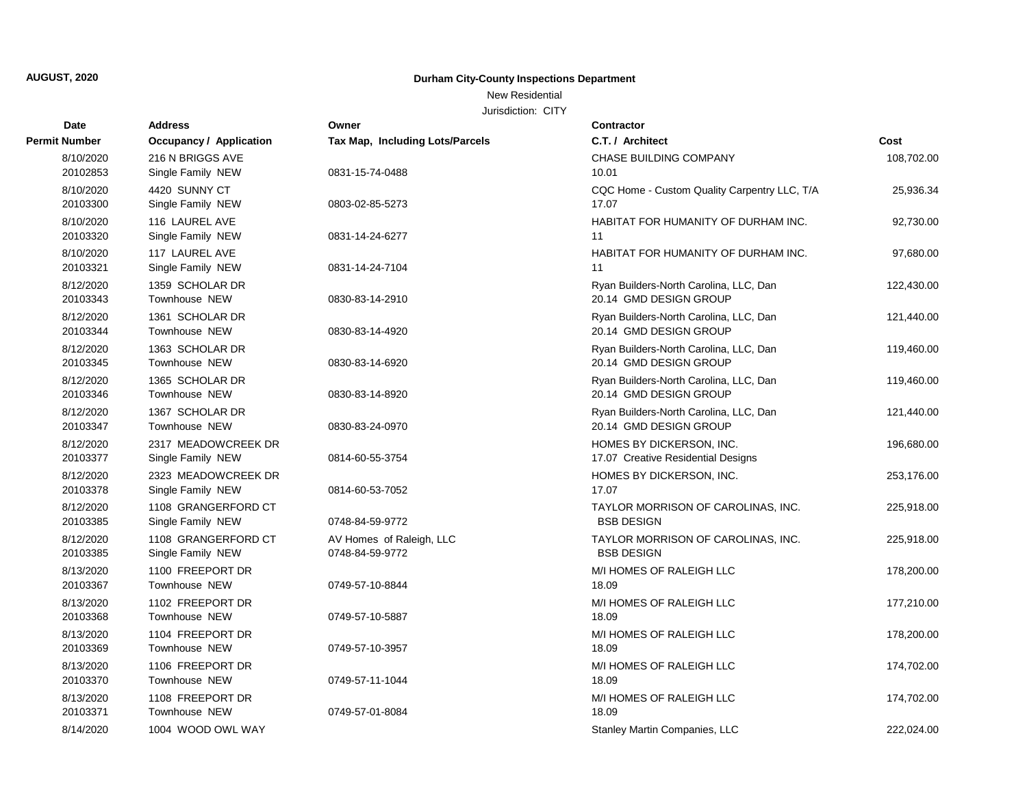New Residential

| Date                  | <b>Address</b>                    | Owner                           | <b>Contractor</b>                            |            |
|-----------------------|-----------------------------------|---------------------------------|----------------------------------------------|------------|
| <b>Permit Number</b>  | Occupancy / Application           | Tax Map, Including Lots/Parcels | C.T. / Architect                             | Cost       |
| 8/10/2020             | 216 N BRIGGS AVE                  |                                 | <b>CHASE BUILDING COMPANY</b>                | 108,702.00 |
| 20102853              | Single Family NEW                 | 0831-15-74-0488                 | 10.01                                        |            |
| 8/10/2020             | 4420 SUNNY CT                     |                                 | CQC Home - Custom Quality Carpentry LLC, T/A | 25,936.34  |
| 20103300              | Single Family NEW                 | 0803-02-85-5273                 | 17.07                                        |            |
| 8/10/2020             | 116 LAUREL AVE                    |                                 | HABITAT FOR HUMANITY OF DURHAM INC.          | 92,730.00  |
| 20103320              | Single Family NEW                 | 0831-14-24-6277                 | 11                                           |            |
| 8/10/2020             | 117 LAUREL AVE                    |                                 | HABITAT FOR HUMANITY OF DURHAM INC.          | 97,680.00  |
| 20103321              | Single Family NEW                 | 0831-14-24-7104                 | 11                                           |            |
| 8/12/2020             | 1359 SCHOLAR DR                   |                                 | Ryan Builders-North Carolina, LLC, Dan       | 122,430.00 |
| 20103343              | Townhouse NEW                     | 0830-83-14-2910                 | 20.14 GMD DESIGN GROUP                       |            |
| 8/12/2020             | 1361 SCHOLAR DR                   |                                 | Ryan Builders-North Carolina, LLC, Dan       | 121,440.00 |
| 20103344              | Townhouse NEW                     | 0830-83-14-4920                 | 20.14 GMD DESIGN GROUP                       |            |
| 8/12/2020             | 1363 SCHOLAR DR                   |                                 | Ryan Builders-North Carolina, LLC, Dan       | 119,460.00 |
| 20103345              | <b>Townhouse NEW</b>              | 0830-83-14-6920                 | 20.14 GMD DESIGN GROUP                       |            |
| 8/12/2020             | 1365 SCHOLAR DR                   |                                 | Ryan Builders-North Carolina, LLC, Dan       | 119,460.00 |
| 20103346              | Townhouse NEW                     | 0830-83-14-8920                 | 20.14 GMD DESIGN GROUP                       |            |
| 8/12/2020             | 1367 SCHOLAR DR                   |                                 | Ryan Builders-North Carolina, LLC, Dan       | 121,440.00 |
| 20103347              | Townhouse NEW                     | 0830-83-24-0970                 | 20.14 GMD DESIGN GROUP                       |            |
| 8/12/2020             | 2317 MEADOWCREEK DR               |                                 | HOMES BY DICKERSON, INC.                     | 196,680.00 |
| 20103377              | Single Family NEW                 | 0814-60-55-3754                 | 17.07 Creative Residential Designs           |            |
| 8/12/2020             | 2323 MEADOWCREEK DR               |                                 | HOMES BY DICKERSON, INC.                     | 253,176.00 |
| 20103378              | Single Family NEW                 | 0814-60-53-7052                 | 17.07                                        |            |
| 8/12/2020             | 1108 GRANGERFORD CT               |                                 | TAYLOR MORRISON OF CAROLINAS, INC.           | 225,918.00 |
| 20103385              | Single Family NEW                 | 0748-84-59-9772                 | <b>BSB DESIGN</b>                            |            |
| 8/12/2020             | 1108 GRANGERFORD CT               | AV Homes of Raleigh, LLC        | TAYLOR MORRISON OF CAROLINAS, INC.           | 225,918.00 |
| 20103385              | Single Family NEW                 | 0748-84-59-9772                 | <b>BSB DESIGN</b>                            |            |
| 8/13/2020             | 1100 FREEPORT DR                  |                                 | M/I HOMES OF RALEIGH LLC                     | 178,200.00 |
| 20103367              | Townhouse NEW                     | 0749-57-10-8844                 | 18.09                                        |            |
| 8/13/2020             | 1102 FREEPORT DR                  |                                 | M/I HOMES OF RALEIGH LLC                     | 177,210.00 |
| 20103368              | Townhouse NEW                     | 0749-57-10-5887                 | 18.09                                        |            |
| 8/13/2020             | 1104 FREEPORT DR                  |                                 | M/I HOMES OF RALEIGH LLC                     | 178,200.00 |
| 20103369              | Townhouse NEW                     | 0749-57-10-3957                 | 18.09                                        |            |
| 8/13/2020<br>20103370 | 1106 FREEPORT DR<br>Townhouse NEW | 0749-57-11-1044                 | M/I HOMES OF RALEIGH LLC<br>18.09            | 174,702.00 |
|                       |                                   |                                 |                                              |            |
| 8/13/2020<br>20103371 | 1108 FREEPORT DR<br>Townhouse NEW | 0749-57-01-8084                 | M/I HOMES OF RALEIGH LLC<br>18.09            | 174,702.00 |
|                       |                                   |                                 |                                              |            |
| 8/14/2020             | 1004 WOOD OWL WAY                 |                                 | Stanley Martin Companies, LLC                | 222,024.00 |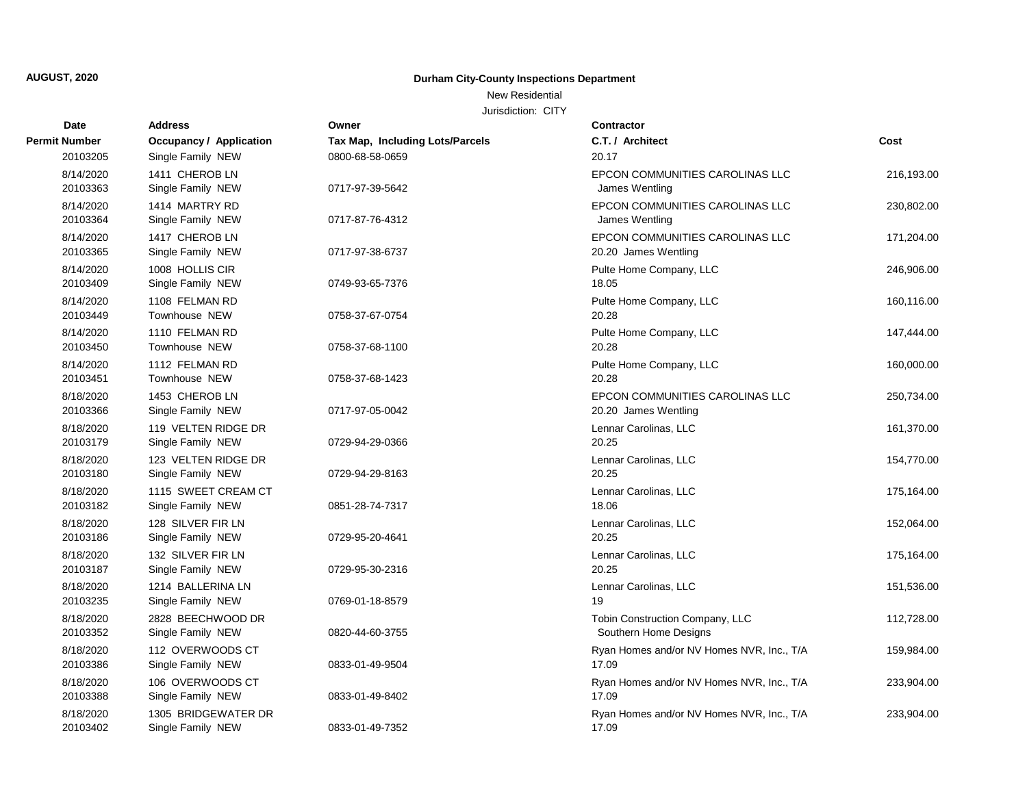New Residential

| Date                  | <b>Address</b>                           | Owner                           | Contractor                                               |            |
|-----------------------|------------------------------------------|---------------------------------|----------------------------------------------------------|------------|
| <b>Permit Number</b>  | <b>Occupancy / Application</b>           | Tax Map, Including Lots/Parcels | C.T. / Architect                                         | Cost       |
| 20103205              | Single Family NEW                        | 0800-68-58-0659                 | 20.17                                                    |            |
| 8/14/2020<br>20103363 | 1411 CHEROB LN<br>Single Family NEW      | 0717-97-39-5642                 | EPCON COMMUNITIES CAROLINAS LLC<br>James Wentling        | 216,193.00 |
| 8/14/2020<br>20103364 | 1414 MARTRY RD<br>Single Family NEW      | 0717-87-76-4312                 | EPCON COMMUNITIES CAROLINAS LLC<br>James Wentling        | 230,802.00 |
| 8/14/2020<br>20103365 | 1417 CHEROB LN<br>Single Family NEW      | 0717-97-38-6737                 | EPCON COMMUNITIES CAROLINAS LLC<br>20.20 James Wentling  | 171,204.00 |
| 8/14/2020<br>20103409 | 1008 HOLLIS CIR<br>Single Family NEW     | 0749-93-65-7376                 | Pulte Home Company, LLC<br>18.05                         | 246,906.00 |
| 8/14/2020<br>20103449 | 1108 FELMAN RD<br>Townhouse NEW          | 0758-37-67-0754                 | Pulte Home Company, LLC<br>20.28                         | 160,116.00 |
| 8/14/2020<br>20103450 | 1110 FELMAN RD<br>Townhouse NEW          | 0758-37-68-1100                 | Pulte Home Company, LLC<br>20.28                         | 147,444.00 |
| 8/14/2020<br>20103451 | 1112 FELMAN RD<br>Townhouse NEW          | 0758-37-68-1423                 | Pulte Home Company, LLC<br>20.28                         | 160,000.00 |
| 8/18/2020<br>20103366 | 1453 CHEROB LN<br>Single Family NEW      | 0717-97-05-0042                 | EPCON COMMUNITIES CAROLINAS LLC<br>20.20 James Wentling  | 250,734.00 |
| 8/18/2020<br>20103179 | 119 VELTEN RIDGE DR<br>Single Family NEW | 0729-94-29-0366                 | Lennar Carolinas, LLC<br>20.25                           | 161,370.00 |
| 8/18/2020<br>20103180 | 123 VELTEN RIDGE DR<br>Single Family NEW | 0729-94-29-8163                 | Lennar Carolinas, LLC<br>20.25                           | 154,770.00 |
| 8/18/2020<br>20103182 | 1115 SWEET CREAM CT<br>Single Family NEW | 0851-28-74-7317                 | Lennar Carolinas, LLC<br>18.06                           | 175,164.00 |
| 8/18/2020<br>20103186 | 128 SILVER FIR LN<br>Single Family NEW   | 0729-95-20-4641                 | Lennar Carolinas, LLC<br>20.25                           | 152,064.00 |
| 8/18/2020<br>20103187 | 132 SILVER FIR LN<br>Single Family NEW   | 0729-95-30-2316                 | Lennar Carolinas, LLC<br>20.25                           | 175,164.00 |
| 8/18/2020<br>20103235 | 1214 BALLERINA LN<br>Single Family NEW   | 0769-01-18-8579                 | Lennar Carolinas, LLC<br>19                              | 151,536.00 |
| 8/18/2020<br>20103352 | 2828 BEECHWOOD DR<br>Single Family NEW   | 0820-44-60-3755                 | Tobin Construction Company, LLC<br>Southern Home Designs | 112,728.00 |
| 8/18/2020<br>20103386 | 112 OVERWOODS CT<br>Single Family NEW    | 0833-01-49-9504                 | Ryan Homes and/or NV Homes NVR, Inc., T/A<br>17.09       | 159,984.00 |
| 8/18/2020<br>20103388 | 106 OVERWOODS CT<br>Single Family NEW    | 0833-01-49-8402                 | Ryan Homes and/or NV Homes NVR, Inc., T/A<br>17.09       | 233,904.00 |
| 8/18/2020<br>20103402 | 1305 BRIDGEWATER DR<br>Single Family NEW | 0833-01-49-7352                 | Ryan Homes and/or NV Homes NVR, Inc., T/A<br>17.09       | 233,904.00 |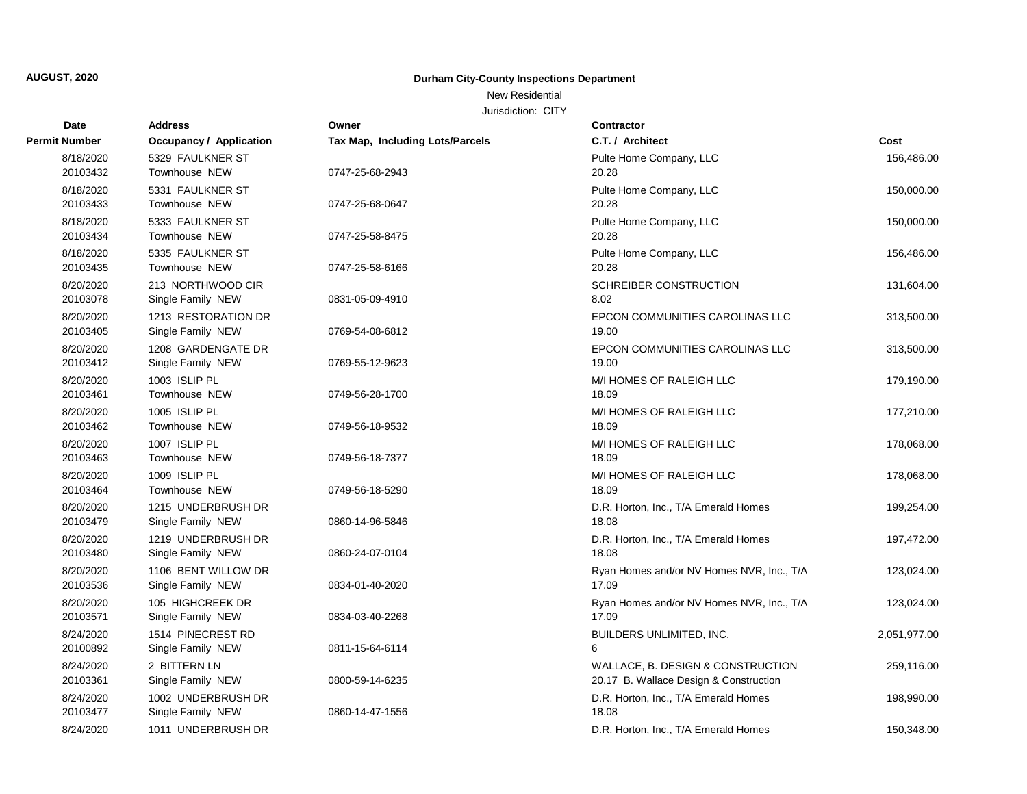New Residential

| Date                  | Address                        | Owner                           | <b>Contractor</b>                         |              |
|-----------------------|--------------------------------|---------------------------------|-------------------------------------------|--------------|
| <b>Permit Number</b>  | Occupancy / Application        | Tax Map, Including Lots/Parcels | C.T. / Architect                          | Cost         |
| 8/18/2020             | 5329 FAULKNER ST               |                                 | Pulte Home Company, LLC                   | 156,486.00   |
| 20103432              | Townhouse NEW                  | 0747-25-68-2943                 | 20.28                                     |              |
| 8/18/2020             | 5331 FAULKNER ST               |                                 | Pulte Home Company, LLC                   | 150,000.00   |
| 20103433              | Townhouse NEW                  | 0747-25-68-0647                 | 20.28                                     |              |
| 8/18/2020             | 5333 FAULKNER ST               |                                 | Pulte Home Company, LLC                   | 150,000.00   |
| 20103434              | Townhouse NEW                  | 0747-25-58-8475                 | 20.28                                     |              |
| 8/18/2020             | 5335 FAULKNER ST               |                                 | Pulte Home Company, LLC                   | 156,486.00   |
| 20103435              | Townhouse NEW                  | 0747-25-58-6166                 | 20.28                                     |              |
| 8/20/2020             | 213 NORTHWOOD CIR              |                                 | SCHREIBER CONSTRUCTION                    | 131,604.00   |
| 20103078              | Single Family NEW              | 0831-05-09-4910                 | 8.02                                      |              |
| 8/20/2020             | 1213 RESTORATION DR            |                                 | EPCON COMMUNITIES CAROLINAS LLC           | 313,500.00   |
| 20103405              | Single Family NEW              | 0769-54-08-6812                 | 19.00                                     |              |
| 8/20/2020             | 1208 GARDENGATE DR             |                                 | EPCON COMMUNITIES CAROLINAS LLC           | 313,500.00   |
| 20103412              | Single Family NEW              | 0769-55-12-9623                 | 19.00                                     |              |
| 8/20/2020             | 1003 ISLIP PL                  |                                 | M/I HOMES OF RALEIGH LLC                  | 179,190.00   |
| 20103461              | Townhouse NEW                  | 0749-56-28-1700                 | 18.09                                     |              |
| 8/20/2020<br>20103462 | 1005 ISLIP PL<br>Townhouse NEW |                                 | M/I HOMES OF RALEIGH LLC<br>18.09         | 177,210.00   |
|                       |                                | 0749-56-18-9532                 |                                           |              |
| 8/20/2020<br>20103463 | 1007 ISLIP PL<br>Townhouse NEW | 0749-56-18-7377                 | M/I HOMES OF RALEIGH LLC<br>18.09         | 178,068.00   |
| 8/20/2020             | 1009 ISLIP PL                  |                                 | M/I HOMES OF RALEIGH LLC                  | 178,068.00   |
| 20103464              | Townhouse NEW                  | 0749-56-18-5290                 | 18.09                                     |              |
| 8/20/2020             | 1215 UNDERBRUSH DR             |                                 | D.R. Horton, Inc., T/A Emerald Homes      | 199,254.00   |
| 20103479              | Single Family NEW              | 0860-14-96-5846                 | 18.08                                     |              |
| 8/20/2020             | 1219 UNDERBRUSH DR             |                                 | D.R. Horton, Inc., T/A Emerald Homes      | 197,472.00   |
| 20103480              | Single Family NEW              | 0860-24-07-0104                 | 18.08                                     |              |
| 8/20/2020             | 1106 BENT WILLOW DR            |                                 | Ryan Homes and/or NV Homes NVR, Inc., T/A | 123,024.00   |
| 20103536              | Single Family NEW              | 0834-01-40-2020                 | 17.09                                     |              |
| 8/20/2020             | 105 HIGHCREEK DR               |                                 | Ryan Homes and/or NV Homes NVR, Inc., T/A | 123,024.00   |
| 20103571              | Single Family NEW              | 0834-03-40-2268                 | 17.09                                     |              |
| 8/24/2020             | 1514 PINECREST RD              |                                 | BUILDERS UNLIMITED, INC.                  | 2,051,977.00 |
| 20100892              | Single Family NEW              | 0811-15-64-6114                 | 6                                         |              |
| 8/24/2020             | 2 BITTERN LN                   |                                 | WALLACE, B. DESIGN & CONSTRUCTION         | 259,116.00   |
| 20103361              | Single Family NEW              | 0800-59-14-6235                 | 20.17 B. Wallace Design & Construction    |              |
| 8/24/2020             | 1002 UNDERBRUSH DR             |                                 | D.R. Horton, Inc., T/A Emerald Homes      | 198,990.00   |
| 20103477              | Single Family NEW              | 0860-14-47-1556                 | 18.08                                     |              |
| 8/24/2020             | 1011 UNDERBRUSH DR             |                                 | D.R. Horton, Inc., T/A Emerald Homes      | 150,348.00   |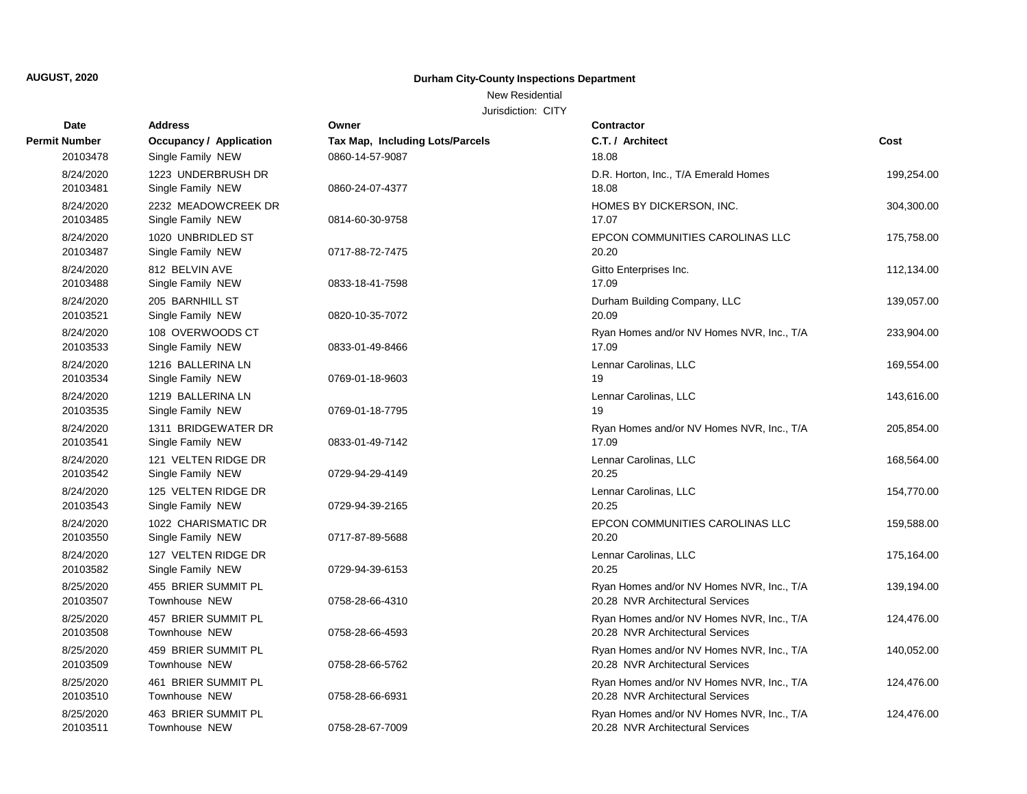New Residential

| <b>Date</b>           | <b>Address</b>                              | Owner                                  | Contractor                                                                    |            |
|-----------------------|---------------------------------------------|----------------------------------------|-------------------------------------------------------------------------------|------------|
| <b>Permit Number</b>  | Occupancy / Application                     | <b>Tax Map, Including Lots/Parcels</b> | C.T. / Architect                                                              | Cost       |
| 20103478              | Single Family NEW                           | 0860-14-57-9087                        | 18.08                                                                         |            |
| 8/24/2020<br>20103481 | 1223 UNDERBRUSH DR<br>Single Family NEW     | 0860-24-07-4377                        | D.R. Horton, Inc., T/A Emerald Homes<br>18.08                                 | 199,254.00 |
| 8/24/2020<br>20103485 | 2232 MEADOWCREEK DR<br>Single Family NEW    | 0814-60-30-9758                        | HOMES BY DICKERSON, INC.<br>17.07                                             | 304,300.00 |
| 8/24/2020<br>20103487 | 1020 UNBRIDLED ST<br>Single Family NEW      | 0717-88-72-7475                        | EPCON COMMUNITIES CAROLINAS LLC<br>20.20                                      | 175,758.00 |
| 8/24/2020<br>20103488 | 812 BELVIN AVE<br>Single Family NEW         | 0833-18-41-7598                        | Gitto Enterprises Inc.<br>17.09                                               | 112,134.00 |
| 8/24/2020<br>20103521 | 205 BARNHILL ST<br>Single Family NEW        | 0820-10-35-7072                        | Durham Building Company, LLC<br>20.09                                         | 139,057.00 |
| 8/24/2020<br>20103533 | 108 OVERWOODS CT<br>Single Family NEW       | 0833-01-49-8466                        | Ryan Homes and/or NV Homes NVR, Inc., T/A<br>17.09                            | 233,904.00 |
| 8/24/2020<br>20103534 | 1216 BALLERINA LN<br>Single Family NEW      | 0769-01-18-9603                        | Lennar Carolinas, LLC<br>19                                                   | 169,554.00 |
| 8/24/2020<br>20103535 | 1219 BALLERINA LN<br>Single Family NEW      | 0769-01-18-7795                        | Lennar Carolinas, LLC<br>19                                                   | 143,616.00 |
| 8/24/2020<br>20103541 | 1311 BRIDGEWATER DR<br>Single Family NEW    | 0833-01-49-7142                        | Ryan Homes and/or NV Homes NVR, Inc., T/A<br>17.09                            | 205,854.00 |
| 8/24/2020<br>20103542 | 121 VELTEN RIDGE DR<br>Single Family NEW    | 0729-94-29-4149                        | Lennar Carolinas, LLC<br>20.25                                                | 168,564.00 |
| 8/24/2020<br>20103543 | 125 VELTEN RIDGE DR<br>Single Family NEW    | 0729-94-39-2165                        | Lennar Carolinas, LLC<br>20.25                                                | 154,770.00 |
| 8/24/2020<br>20103550 | 1022 CHARISMATIC DR<br>Single Family NEW    | 0717-87-89-5688                        | EPCON COMMUNITIES CAROLINAS LLC<br>20.20                                      | 159,588.00 |
| 8/24/2020<br>20103582 | 127 VELTEN RIDGE DR<br>Single Family NEW    | 0729-94-39-6153                        | Lennar Carolinas, LLC<br>20.25                                                | 175,164.00 |
| 8/25/2020<br>20103507 | 455 BRIER SUMMIT PL<br>Townhouse NEW        | 0758-28-66-4310                        | Ryan Homes and/or NV Homes NVR, Inc., T/A<br>20.28 NVR Architectural Services | 139,194.00 |
| 8/25/2020<br>20103508 | 457 BRIER SUMMIT PL<br><b>Townhouse NEW</b> | 0758-28-66-4593                        | Ryan Homes and/or NV Homes NVR, Inc., T/A<br>20.28 NVR Architectural Services | 124,476.00 |
| 8/25/2020<br>20103509 | 459 BRIER SUMMIT PL<br>Townhouse NEW        | 0758-28-66-5762                        | Ryan Homes and/or NV Homes NVR, Inc., T/A<br>20.28 NVR Architectural Services | 140,052.00 |
| 8/25/2020<br>20103510 | <b>461 BRIER SUMMIT PL</b><br>Townhouse NEW | 0758-28-66-6931                        | Ryan Homes and/or NV Homes NVR, Inc., T/A<br>20.28 NVR Architectural Services | 124,476.00 |
| 8/25/2020<br>20103511 | 463 BRIER SUMMIT PL<br>Townhouse NEW        | 0758-28-67-7009                        | Ryan Homes and/or NV Homes NVR, Inc., T/A<br>20.28 NVR Architectural Services | 124,476.00 |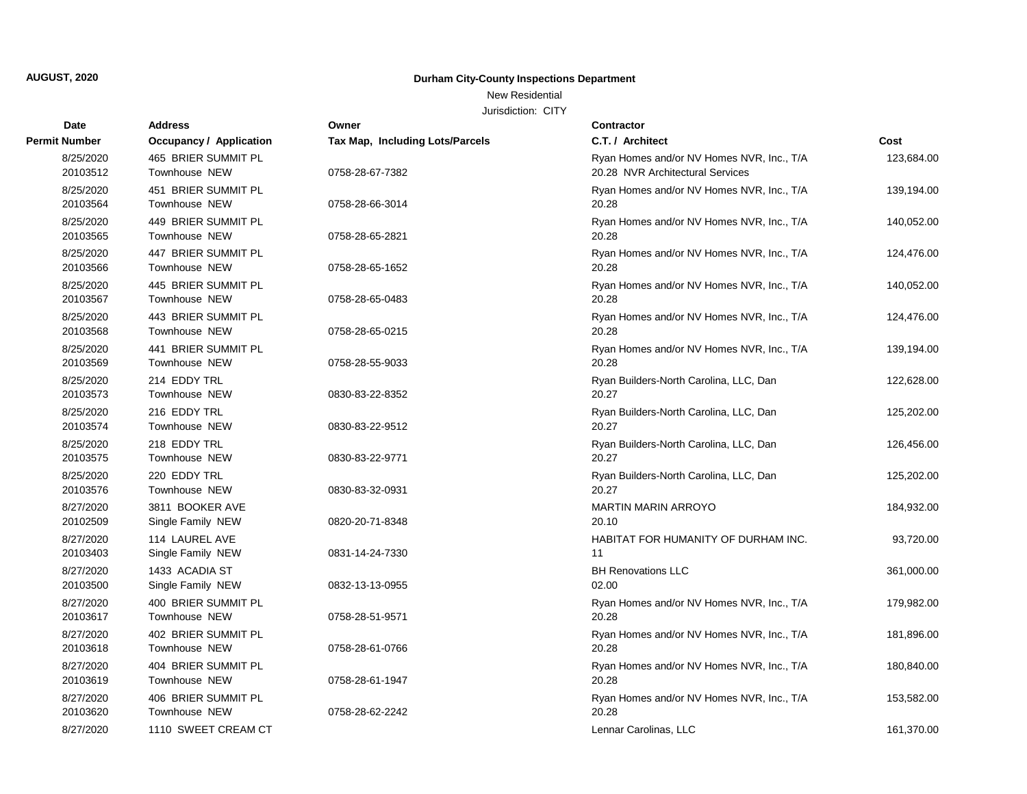New Residential

| <b>Address</b>          | Owner                                  | Contractor                                |                                                                                        |
|-------------------------|----------------------------------------|-------------------------------------------|----------------------------------------------------------------------------------------|
| Occupancy / Application | <b>Tax Map, Including Lots/Parcels</b> | C.T. / Architect                          | Cost                                                                                   |
| 465 BRIER SUMMIT PL     |                                        | Ryan Homes and/or NV Homes NVR, Inc., T/A | 123,684.00                                                                             |
|                         |                                        |                                           |                                                                                        |
| 451 BRIER SUMMIT PL     |                                        | Ryan Homes and/or NV Homes NVR, Inc., T/A | 139,194.00                                                                             |
|                         |                                        |                                           |                                                                                        |
| 449 BRIER SUMMIT PL     |                                        | Ryan Homes and/or NV Homes NVR, Inc., T/A | 140,052.00                                                                             |
| Townhouse NEW           | 0758-28-65-2821                        | 20.28                                     |                                                                                        |
| 447 BRIER SUMMIT PL     |                                        | Ryan Homes and/or NV Homes NVR, Inc., T/A | 124,476.00                                                                             |
| Townhouse NEW           | 0758-28-65-1652                        | 20.28                                     |                                                                                        |
| 445 BRIER SUMMIT PL     |                                        | Ryan Homes and/or NV Homes NVR, Inc., T/A | 140,052.00                                                                             |
| Townhouse NEW           | 0758-28-65-0483                        | 20.28                                     |                                                                                        |
| 443 BRIER SUMMIT PL     |                                        | Ryan Homes and/or NV Homes NVR, Inc., T/A | 124,476.00                                                                             |
| Townhouse NEW           | 0758-28-65-0215                        | 20.28                                     |                                                                                        |
| 441 BRIER SUMMIT PL     |                                        | Ryan Homes and/or NV Homes NVR, Inc., T/A | 139,194.00                                                                             |
| Townhouse NEW           | 0758-28-55-9033                        | 20.28                                     |                                                                                        |
| 214 EDDY TRL            |                                        | Ryan Builders-North Carolina, LLC, Dan    | 122,628.00                                                                             |
| Townhouse NEW           | 0830-83-22-8352                        | 20.27                                     |                                                                                        |
| 216 EDDY TRL            |                                        | Ryan Builders-North Carolina, LLC, Dan    | 125,202.00                                                                             |
| Townhouse NEW           | 0830-83-22-9512                        | 20.27                                     |                                                                                        |
| 218 EDDY TRL            |                                        | Ryan Builders-North Carolina, LLC, Dan    | 126,456.00                                                                             |
| Townhouse NEW           | 0830-83-22-9771                        | 20.27                                     |                                                                                        |
| 220 EDDY TRL            |                                        | Ryan Builders-North Carolina, LLC, Dan    | 125,202.00                                                                             |
| Townhouse NEW           | 0830-83-32-0931                        | 20.27                                     |                                                                                        |
| 3811 BOOKER AVE         |                                        | <b>MARTIN MARIN ARROYO</b>                | 184,932.00                                                                             |
| Single Family NEW       | 0820-20-71-8348                        | 20.10                                     |                                                                                        |
| 114 LAUREL AVE          |                                        | HABITAT FOR HUMANITY OF DURHAM INC.       | 93,720.00                                                                              |
| Single Family NEW       | 0831-14-24-7330                        | 11                                        |                                                                                        |
| 1433 ACADIA ST          |                                        | <b>BH Renovations LLC</b>                 | 361,000.00                                                                             |
| Single Family NEW       | 0832-13-13-0955                        | 02.00                                     |                                                                                        |
| 400 BRIER SUMMIT PL     |                                        | Ryan Homes and/or NV Homes NVR, Inc., T/A | 179,982.00                                                                             |
| Townhouse NEW           | 0758-28-51-9571                        | 20.28                                     |                                                                                        |
| 402 BRIER SUMMIT PL     |                                        |                                           | 181,896.00                                                                             |
| Townhouse NEW           | 0758-28-61-0766                        | 20.28                                     |                                                                                        |
| 404 BRIER SUMMIT PL     |                                        | Ryan Homes and/or NV Homes NVR, Inc., T/A | 180,840.00                                                                             |
| Townhouse NEW           | 0758-28-61-1947                        | 20.28                                     |                                                                                        |
| 406 BRIER SUMMIT PL     |                                        | Ryan Homes and/or NV Homes NVR, Inc., T/A | 153,582.00                                                                             |
| Townhouse NEW           | 0758-28-62-2242                        | 20.28                                     |                                                                                        |
| 1110 SWEET CREAM CT     |                                        | Lennar Carolinas, LLC                     | 161.370.00                                                                             |
|                         | Townhouse NEW<br>Townhouse NEW         | 0758-28-67-7382<br>0758-28-66-3014        | 20.28 NVR Architectural Services<br>20.28<br>Ryan Homes and/or NV Homes NVR, Inc., T/A |